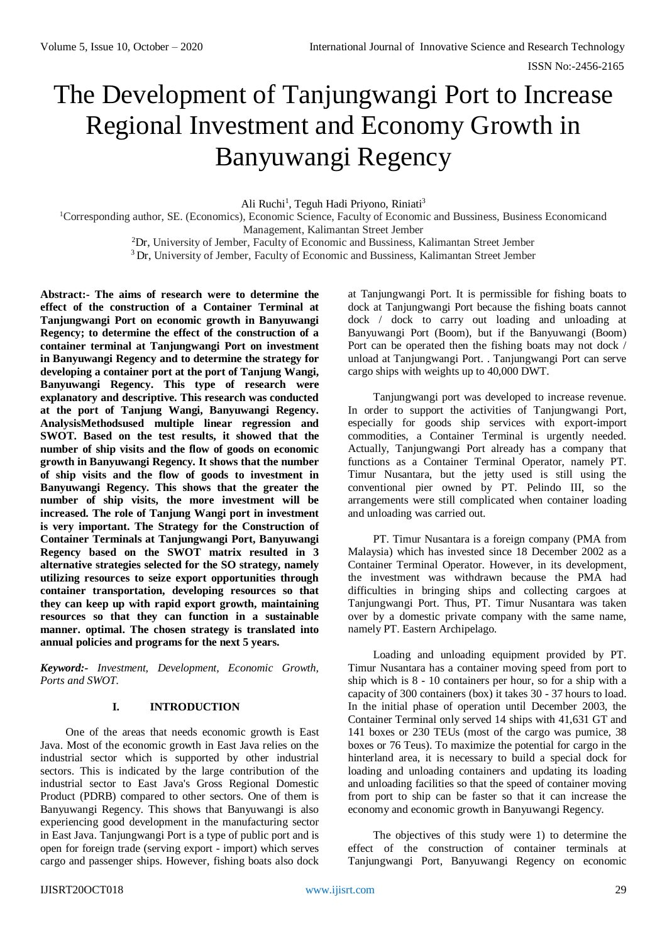# The Development of Tanjungwangi Port to Increase Regional Investment and Economy Growth in Banyuwangi Regency

Ali Ruchi<sup>1</sup>, Teguh Hadi Priyono, Riniati<sup>3</sup>

<sup>1</sup>Corresponding author, SE. (Economics), Economic Science, Faculty of Economic and Bussiness, Business Economicand Management, Kalimantan Street Jember

<sup>2</sup>Dr, University of Jember, Faculty of Economic and Bussiness, Kalimantan Street Jember

<sup>3</sup> Dr, University of Jember, Faculty of Economic and Bussiness, Kalimantan Street Jember

**Abstract:- The aims of research were to determine the effect of the construction of a Container Terminal at Tanjungwangi Port on economic growth in Banyuwangi Regency; to determine the effect of the construction of a container terminal at Tanjungwangi Port on investment in Banyuwangi Regency and to determine the strategy for developing a container port at the port of Tanjung Wangi, Banyuwangi Regency. This type of research were explanatory and descriptive. This research was conducted at the port of Tanjung Wangi, Banyuwangi Regency. AnalysisMethodsused multiple linear regression and SWOT. Based on the test results, it showed that the number of ship visits and the flow of goods on economic growth in Banyuwangi Regency. It shows that the number of ship visits and the flow of goods to investment in Banyuwangi Regency. This shows that the greater the number of ship visits, the more investment will be increased. The role of Tanjung Wangi port in investment is very important. The Strategy for the Construction of Container Terminals at Tanjungwangi Port, Banyuwangi Regency based on the SWOT matrix resulted in 3 alternative strategies selected for the SO strategy, namely utilizing resources to seize export opportunities through container transportation, developing resources so that they can keep up with rapid export growth, maintaining resources so that they can function in a sustainable manner. optimal. The chosen strategy is translated into annual policies and programs for the next 5 years.**

*Keyword:- Investment, Development, Economic Growth, Ports and SWOT.*

# **I. INTRODUCTION**

One of the areas that needs economic growth is East Java. Most of the economic growth in East Java relies on the industrial sector which is supported by other industrial sectors. This is indicated by the large contribution of the industrial sector to East Java's Gross Regional Domestic Product (PDRB) compared to other sectors. One of them is Banyuwangi Regency. This shows that Banyuwangi is also experiencing good development in the manufacturing sector in East Java. Tanjungwangi Port is a type of public port and is open for foreign trade (serving export - import) which serves cargo and passenger ships. However, fishing boats also dock

at Tanjungwangi Port. It is permissible for fishing boats to dock at Tanjungwangi Port because the fishing boats cannot dock / dock to carry out loading and unloading at Banyuwangi Port (Boom), but if the Banyuwangi (Boom) Port can be operated then the fishing boats may not dock / unload at Tanjungwangi Port. . Tanjungwangi Port can serve cargo ships with weights up to 40,000 DWT.

Tanjungwangi port was developed to increase revenue. In order to support the activities of Tanjungwangi Port, especially for goods ship services with export-import commodities, a Container Terminal is urgently needed. Actually, Tanjungwangi Port already has a company that functions as a Container Terminal Operator, namely PT. Timur Nusantara, but the jetty used is still using the conventional pier owned by PT. Pelindo III, so the arrangements were still complicated when container loading and unloading was carried out.

PT. Timur Nusantara is a foreign company (PMA from Malaysia) which has invested since 18 December 2002 as a Container Terminal Operator. However, in its development, the investment was withdrawn because the PMA had difficulties in bringing ships and collecting cargoes at Tanjungwangi Port. Thus, PT. Timur Nusantara was taken over by a domestic private company with the same name, namely PT. Eastern Archipelago.

Loading and unloading equipment provided by PT. Timur Nusantara has a container moving speed from port to ship which is 8 - 10 containers per hour, so for a ship with a capacity of 300 containers (box) it takes 30 - 37 hours to load. In the initial phase of operation until December 2003, the Container Terminal only served 14 ships with 41,631 GT and 141 boxes or 230 TEUs (most of the cargo was pumice, 38 boxes or 76 Teus). To maximize the potential for cargo in the hinterland area, it is necessary to build a special dock for loading and unloading containers and updating its loading and unloading facilities so that the speed of container moving from port to ship can be faster so that it can increase the economy and economic growth in Banyuwangi Regency.

The objectives of this study were 1) to determine the effect of the construction of container terminals at Tanjungwangi Port, Banyuwangi Regency on economic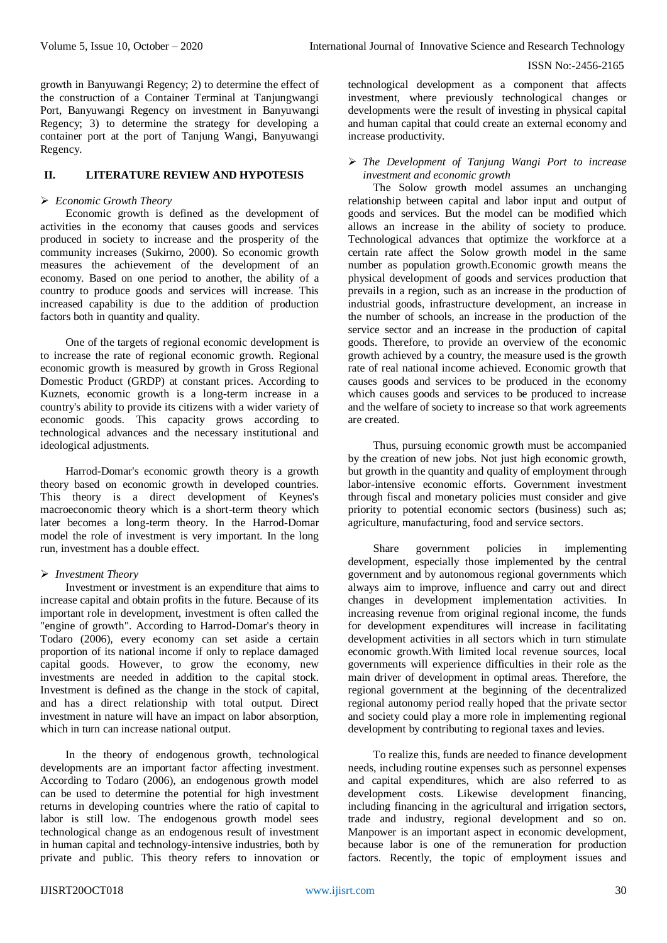growth in Banyuwangi Regency; 2) to determine the effect of the construction of a Container Terminal at Tanjungwangi Port, Banyuwangi Regency on investment in Banyuwangi Regency; 3) to determine the strategy for developing a container port at the port of Tanjung Wangi, Banyuwangi Regency.

# **II. LITERATURE REVIEW AND HYPOTESIS**

### *Economic Growth Theory*

Economic growth is defined as the development of activities in the economy that causes goods and services produced in society to increase and the prosperity of the community increases (Sukirno, 2000). So economic growth measures the achievement of the development of an economy. Based on one period to another, the ability of a country to produce goods and services will increase. This increased capability is due to the addition of production factors both in quantity and quality.

One of the targets of regional economic development is to increase the rate of regional economic growth. Regional economic growth is measured by growth in Gross Regional Domestic Product (GRDP) at constant prices. According to Kuznets, economic growth is a long-term increase in a country's ability to provide its citizens with a wider variety of economic goods. This capacity grows according to technological advances and the necessary institutional and ideological adjustments.

Harrod-Domar's economic growth theory is a growth theory based on economic growth in developed countries. This theory is a direct development of Keynes's macroeconomic theory which is a short-term theory which later becomes a long-term theory. In the Harrod-Domar model the role of investment is very important. In the long run, investment has a double effect.

#### *Investment Theory*

Investment or investment is an expenditure that aims to increase capital and obtain profits in the future. Because of its important role in development, investment is often called the "engine of growth". According to Harrod-Domar's theory in Todaro (2006), every economy can set aside a certain proportion of its national income if only to replace damaged capital goods. However, to grow the economy, new investments are needed in addition to the capital stock. Investment is defined as the change in the stock of capital, and has a direct relationship with total output. Direct investment in nature will have an impact on labor absorption, which in turn can increase national output.

In the theory of endogenous growth, technological developments are an important factor affecting investment. According to Todaro (2006), an endogenous growth model can be used to determine the potential for high investment returns in developing countries where the ratio of capital to labor is still low. The endogenous growth model sees technological change as an endogenous result of investment in human capital and technology-intensive industries, both by private and public. This theory refers to innovation or technological development as a component that affects investment, where previously technological changes or developments were the result of investing in physical capital and human capital that could create an external economy and increase productivity.

# *The Development of Tanjung Wangi Port to increase investment and economic growth*

The Solow growth model assumes an unchanging relationship between capital and labor input and output of goods and services. But the model can be modified which allows an increase in the ability of society to produce. Technological advances that optimize the workforce at a certain rate affect the Solow growth model in the same number as population growth.Economic growth means the physical development of goods and services production that prevails in a region, such as an increase in the production of industrial goods, infrastructure development, an increase in the number of schools, an increase in the production of the service sector and an increase in the production of capital goods. Therefore, to provide an overview of the economic growth achieved by a country, the measure used is the growth rate of real national income achieved. Economic growth that causes goods and services to be produced in the economy which causes goods and services to be produced to increase and the welfare of society to increase so that work agreements are created.

Thus, pursuing economic growth must be accompanied by the creation of new jobs. Not just high economic growth, but growth in the quantity and quality of employment through labor-intensive economic efforts. Government investment through fiscal and monetary policies must consider and give priority to potential economic sectors (business) such as; agriculture, manufacturing, food and service sectors.

Share government policies in implementing development, especially those implemented by the central government and by autonomous regional governments which always aim to improve, influence and carry out and direct changes in development implementation activities. In increasing revenue from original regional income, the funds for development expenditures will increase in facilitating development activities in all sectors which in turn stimulate economic growth.With limited local revenue sources, local governments will experience difficulties in their role as the main driver of development in optimal areas. Therefore, the regional government at the beginning of the decentralized regional autonomy period really hoped that the private sector and society could play a more role in implementing regional development by contributing to regional taxes and levies.

To realize this, funds are needed to finance development needs, including routine expenses such as personnel expenses and capital expenditures, which are also referred to as development costs. Likewise development financing, including financing in the agricultural and irrigation sectors, trade and industry, regional development and so on. Manpower is an important aspect in economic development, because labor is one of the remuneration for production factors. Recently, the topic of employment issues and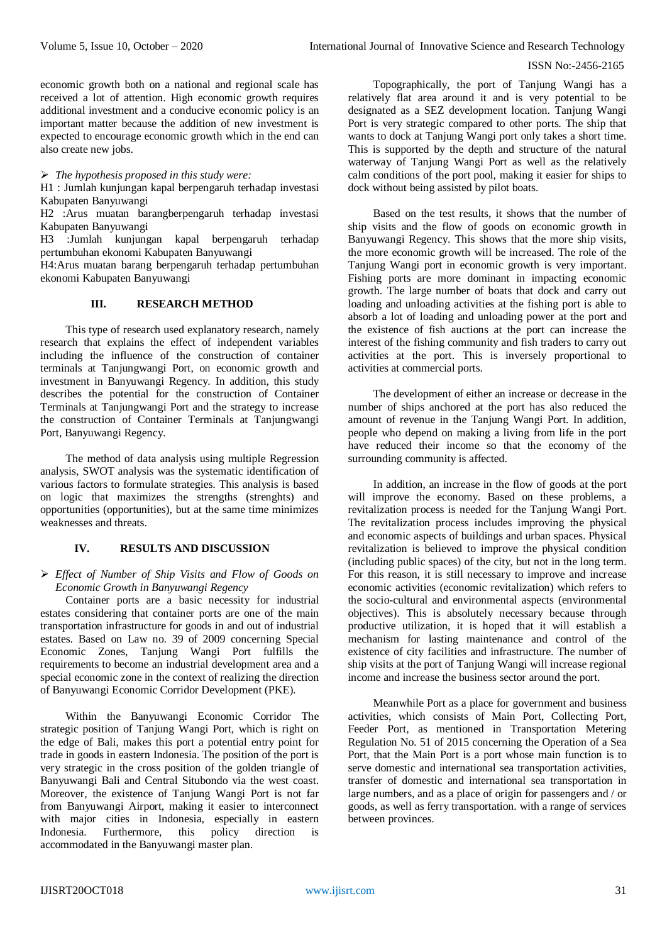economic growth both on a national and regional scale has received a lot of attention. High economic growth requires additional investment and a conducive economic policy is an important matter because the addition of new investment is expected to encourage economic growth which in the end can also create new jobs.

*The hypothesis proposed in this study were:*

H1 : Jumlah kunjungan kapal berpengaruh terhadap investasi Kabupaten Banyuwangi

H2 :Arus muatan barangberpengaruh terhadap investasi Kabupaten Banyuwangi

H3 :Jumlah kunjungan kapal berpengaruh terhadap pertumbuhan ekonomi Kabupaten Banyuwangi

H4:Arus muatan barang berpengaruh terhadap pertumbuhan ekonomi Kabupaten Banyuwangi

## **III. RESEARCH METHOD**

This type of research used explanatory research, namely research that explains the effect of independent variables including the influence of the construction of container terminals at Tanjungwangi Port, on economic growth and investment in Banyuwangi Regency. In addition, this study describes the potential for the construction of Container Terminals at Tanjungwangi Port and the strategy to increase the construction of Container Terminals at Tanjungwangi Port, Banyuwangi Regency.

The method of data analysis using multiple Regression analysis, SWOT analysis was the systematic identification of various factors to formulate strategies. This analysis is based on logic that maximizes the strengths (strenghts) and opportunities (opportunities), but at the same time minimizes weaknesses and threats.

# **IV. RESULTS AND DISCUSSION**

## *Effect of Number of Ship Visits and Flow of Goods on Economic Growth in Banyuwangi Regency*

Container ports are a basic necessity for industrial estates considering that container ports are one of the main transportation infrastructure for goods in and out of industrial estates. Based on Law no. 39 of 2009 concerning Special Economic Zones, Tanjung Wangi Port fulfills the requirements to become an industrial development area and a special economic zone in the context of realizing the direction of Banyuwangi Economic Corridor Development (PKE).

Within the Banyuwangi Economic Corridor The strategic position of Tanjung Wangi Port, which is right on the edge of Bali, makes this port a potential entry point for trade in goods in eastern Indonesia. The position of the port is very strategic in the cross position of the golden triangle of Banyuwangi Bali and Central Situbondo via the west coast. Moreover, the existence of Tanjung Wangi Port is not far from Banyuwangi Airport, making it easier to interconnect with major cities in Indonesia, especially in eastern Indonesia. Furthermore, this policy direction is accommodated in the Banyuwangi master plan.

Topographically, the port of Tanjung Wangi has a relatively flat area around it and is very potential to be designated as a SEZ development location. Tanjung Wangi Port is very strategic compared to other ports. The ship that wants to dock at Tanjung Wangi port only takes a short time. This is supported by the depth and structure of the natural waterway of Tanjung Wangi Port as well as the relatively calm conditions of the port pool, making it easier for ships to dock without being assisted by pilot boats.

Based on the test results, it shows that the number of ship visits and the flow of goods on economic growth in Banyuwangi Regency. This shows that the more ship visits, the more economic growth will be increased. The role of the Tanjung Wangi port in economic growth is very important. Fishing ports are more dominant in impacting economic growth. The large number of boats that dock and carry out loading and unloading activities at the fishing port is able to absorb a lot of loading and unloading power at the port and the existence of fish auctions at the port can increase the interest of the fishing community and fish traders to carry out activities at the port. This is inversely proportional to activities at commercial ports.

The development of either an increase or decrease in the number of ships anchored at the port has also reduced the amount of revenue in the Tanjung Wangi Port. In addition, people who depend on making a living from life in the port have reduced their income so that the economy of the surrounding community is affected.

In addition, an increase in the flow of goods at the port will improve the economy. Based on these problems, a revitalization process is needed for the Tanjung Wangi Port. The revitalization process includes improving the physical and economic aspects of buildings and urban spaces. Physical revitalization is believed to improve the physical condition (including public spaces) of the city, but not in the long term. For this reason, it is still necessary to improve and increase economic activities (economic revitalization) which refers to the socio-cultural and environmental aspects (environmental objectives). This is absolutely necessary because through productive utilization, it is hoped that it will establish a mechanism for lasting maintenance and control of the existence of city facilities and infrastructure. The number of ship visits at the port of Tanjung Wangi will increase regional income and increase the business sector around the port.

Meanwhile Port as a place for government and business activities, which consists of Main Port, Collecting Port, Feeder Port, as mentioned in Transportation Metering Regulation No. 51 of 2015 concerning the Operation of a Sea Port, that the Main Port is a port whose main function is to serve domestic and international sea transportation activities, transfer of domestic and international sea transportation in large numbers, and as a place of origin for passengers and / or goods, as well as ferry transportation. with a range of services between provinces.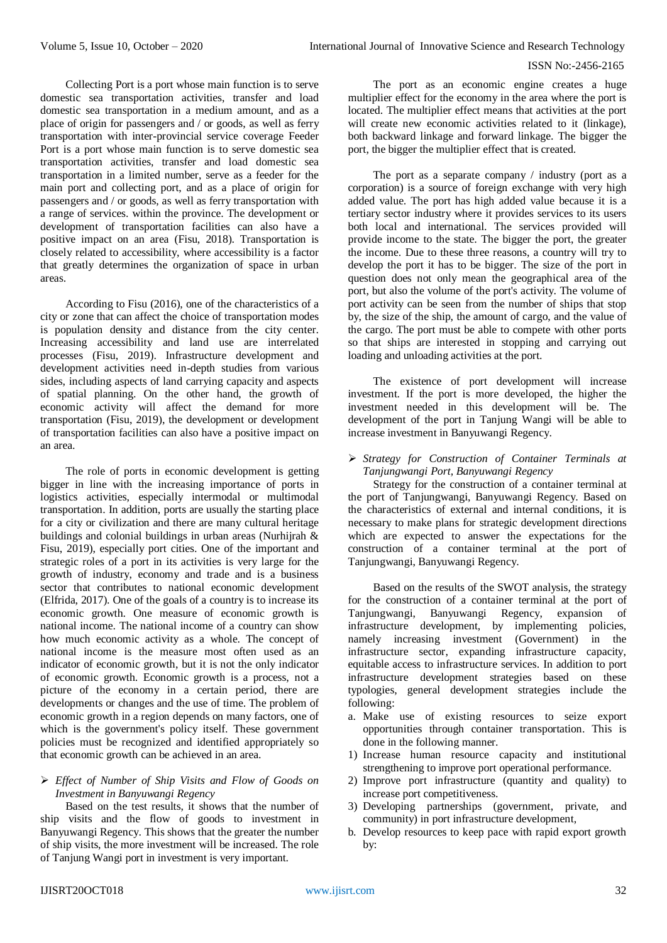Collecting Port is a port whose main function is to serve domestic sea transportation activities, transfer and load domestic sea transportation in a medium amount, and as a place of origin for passengers and / or goods, as well as ferry transportation with inter-provincial service coverage Feeder Port is a port whose main function is to serve domestic sea transportation activities, transfer and load domestic sea transportation in a limited number, serve as a feeder for the main port and collecting port, and as a place of origin for passengers and / or goods, as well as ferry transportation with a range of services. within the province. The development or development of transportation facilities can also have a positive impact on an area (Fisu, 2018). Transportation is closely related to accessibility, where accessibility is a factor that greatly determines the organization of space in urban areas.

According to Fisu (2016), one of the characteristics of a city or zone that can affect the choice of transportation modes is population density and distance from the city center. Increasing accessibility and land use are interrelated processes (Fisu, 2019). Infrastructure development and development activities need in-depth studies from various sides, including aspects of land carrying capacity and aspects of spatial planning. On the other hand, the growth of economic activity will affect the demand for more transportation (Fisu, 2019), the development or development of transportation facilities can also have a positive impact on an area.

The role of ports in economic development is getting bigger in line with the increasing importance of ports in logistics activities, especially intermodal or multimodal transportation. In addition, ports are usually the starting place for a city or civilization and there are many cultural heritage buildings and colonial buildings in urban areas (Nurhijrah & Fisu, 2019), especially port cities. One of the important and strategic roles of a port in its activities is very large for the growth of industry, economy and trade and is a business sector that contributes to national economic development (Elfrida, 2017). One of the goals of a country is to increase its economic growth. One measure of economic growth is national income. The national income of a country can show how much economic activity as a whole. The concept of national income is the measure most often used as an indicator of economic growth, but it is not the only indicator of economic growth. Economic growth is a process, not a picture of the economy in a certain period, there are developments or changes and the use of time. The problem of economic growth in a region depends on many factors, one of which is the government's policy itself. These government policies must be recognized and identified appropriately so that economic growth can be achieved in an area.

# *Effect of Number of Ship Visits and Flow of Goods on Investment in Banyuwangi Regency*

Based on the test results, it shows that the number of ship visits and the flow of goods to investment in Banyuwangi Regency. This shows that the greater the number of ship visits, the more investment will be increased. The role of Tanjung Wangi port in investment is very important.

The port as an economic engine creates a huge multiplier effect for the economy in the area where the port is located. The multiplier effect means that activities at the port will create new economic activities related to it (linkage). both backward linkage and forward linkage. The bigger the port, the bigger the multiplier effect that is created.

The port as a separate company / industry (port as a corporation) is a source of foreign exchange with very high added value. The port has high added value because it is a tertiary sector industry where it provides services to its users both local and international. The services provided will provide income to the state. The bigger the port, the greater the income. Due to these three reasons, a country will try to develop the port it has to be bigger. The size of the port in question does not only mean the geographical area of the port, but also the volume of the port's activity. The volume of port activity can be seen from the number of ships that stop by, the size of the ship, the amount of cargo, and the value of the cargo. The port must be able to compete with other ports so that ships are interested in stopping and carrying out loading and unloading activities at the port.

The existence of port development will increase investment. If the port is more developed, the higher the investment needed in this development will be. The development of the port in Tanjung Wangi will be able to increase investment in Banyuwangi Regency.

 *Strategy for Construction of Container Terminals at Tanjungwangi Port, Banyuwangi Regency*

Strategy for the construction of a container terminal at the port of Tanjungwangi, Banyuwangi Regency. Based on the characteristics of external and internal conditions, it is necessary to make plans for strategic development directions which are expected to answer the expectations for the construction of a container terminal at the port of Tanjungwangi, Banyuwangi Regency.

Based on the results of the SWOT analysis, the strategy for the construction of a container terminal at the port of Tanjungwangi, Banyuwangi Regency, expansion of infrastructure development, by implementing policies, namely increasing investment (Government) in the infrastructure sector, expanding infrastructure capacity, equitable access to infrastructure services. In addition to port infrastructure development strategies based on these typologies, general development strategies include the following:

- a. Make use of existing resources to seize export opportunities through container transportation. This is done in the following manner.
- 1) Increase human resource capacity and institutional strengthening to improve port operational performance.
- 2) Improve port infrastructure (quantity and quality) to increase port competitiveness.
- 3) Developing partnerships (government, private, and community) in port infrastructure development,
- b. Develop resources to keep pace with rapid export growth by: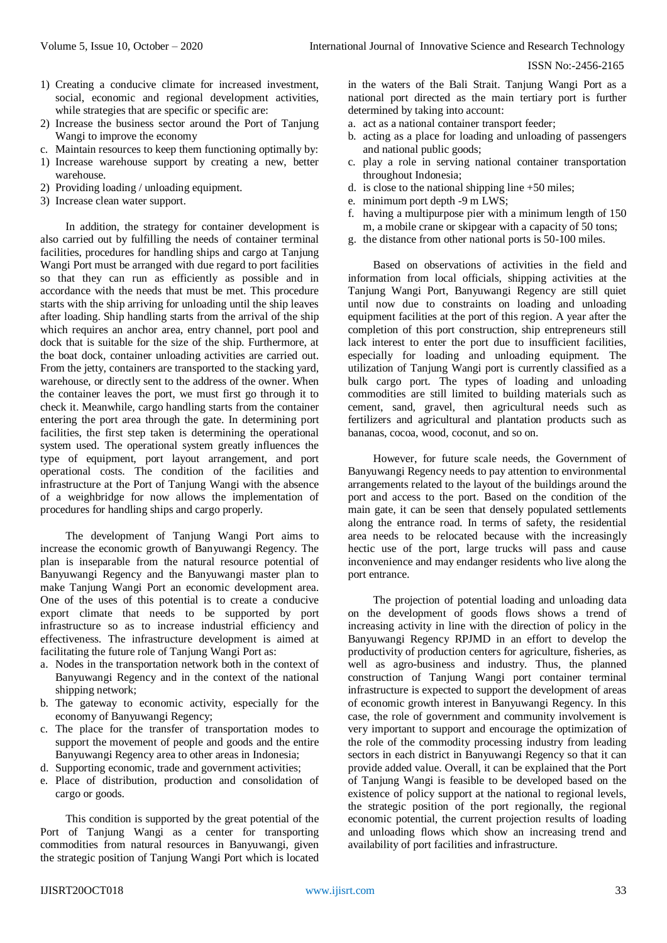- 1) Creating a conducive climate for increased investment, social, economic and regional development activities, while strategies that are specific or specific are:
- 2) Increase the business sector around the Port of Tanjung Wangi to improve the economy
- c. Maintain resources to keep them functioning optimally by:
- 1) Increase warehouse support by creating a new, better warehouse.
- 2) Providing loading / unloading equipment.
- 3) Increase clean water support.

In addition, the strategy for container development is also carried out by fulfilling the needs of container terminal facilities, procedures for handling ships and cargo at Tanjung Wangi Port must be arranged with due regard to port facilities so that they can run as efficiently as possible and in accordance with the needs that must be met. This procedure starts with the ship arriving for unloading until the ship leaves after loading. Ship handling starts from the arrival of the ship which requires an anchor area, entry channel, port pool and dock that is suitable for the size of the ship. Furthermore, at the boat dock, container unloading activities are carried out. From the jetty, containers are transported to the stacking yard, warehouse, or directly sent to the address of the owner. When the container leaves the port, we must first go through it to check it. Meanwhile, cargo handling starts from the container entering the port area through the gate. In determining port facilities, the first step taken is determining the operational system used. The operational system greatly influences the type of equipment, port layout arrangement, and port operational costs. The condition of the facilities and infrastructure at the Port of Tanjung Wangi with the absence of a weighbridge for now allows the implementation of procedures for handling ships and cargo properly.

The development of Tanjung Wangi Port aims to increase the economic growth of Banyuwangi Regency. The plan is inseparable from the natural resource potential of Banyuwangi Regency and the Banyuwangi master plan to make Tanjung Wangi Port an economic development area. One of the uses of this potential is to create a conducive export climate that needs to be supported by port infrastructure so as to increase industrial efficiency and effectiveness. The infrastructure development is aimed at facilitating the future role of Tanjung Wangi Port as:

- a. Nodes in the transportation network both in the context of Banyuwangi Regency and in the context of the national shipping network;
- b. The gateway to economic activity, especially for the economy of Banyuwangi Regency;
- c. The place for the transfer of transportation modes to support the movement of people and goods and the entire Banyuwangi Regency area to other areas in Indonesia;
- d. Supporting economic, trade and government activities;
- e. Place of distribution, production and consolidation of cargo or goods.

This condition is supported by the great potential of the Port of Tanjung Wangi as a center for transporting commodities from natural resources in Banyuwangi, given the strategic position of Tanjung Wangi Port which is located

in the waters of the Bali Strait. Tanjung Wangi Port as a national port directed as the main tertiary port is further determined by taking into account:

- a. act as a national container transport feeder;
- b. acting as a place for loading and unloading of passengers and national public goods;
- c. play a role in serving national container transportation throughout Indonesia;
- d. is close to the national shipping line +50 miles;
- e. minimum port depth -9 m LWS;
- f. having a multipurpose pier with a minimum length of 150 m, a mobile crane or skipgear with a capacity of 50 tons;
- g. the distance from other national ports is 50-100 miles.

Based on observations of activities in the field and information from local officials, shipping activities at the Tanjung Wangi Port, Banyuwangi Regency are still quiet until now due to constraints on loading and unloading equipment facilities at the port of this region. A year after the completion of this port construction, ship entrepreneurs still lack interest to enter the port due to insufficient facilities, especially for loading and unloading equipment. The utilization of Tanjung Wangi port is currently classified as a bulk cargo port. The types of loading and unloading commodities are still limited to building materials such as cement, sand, gravel, then agricultural needs such as fertilizers and agricultural and plantation products such as bananas, cocoa, wood, coconut, and so on.

However, for future scale needs, the Government of Banyuwangi Regency needs to pay attention to environmental arrangements related to the layout of the buildings around the port and access to the port. Based on the condition of the main gate, it can be seen that densely populated settlements along the entrance road. In terms of safety, the residential area needs to be relocated because with the increasingly hectic use of the port, large trucks will pass and cause inconvenience and may endanger residents who live along the port entrance.

The projection of potential loading and unloading data on the development of goods flows shows a trend of increasing activity in line with the direction of policy in the Banyuwangi Regency RPJMD in an effort to develop the productivity of production centers for agriculture, fisheries, as well as agro-business and industry. Thus, the planned construction of Tanjung Wangi port container terminal infrastructure is expected to support the development of areas of economic growth interest in Banyuwangi Regency. In this case, the role of government and community involvement is very important to support and encourage the optimization of the role of the commodity processing industry from leading sectors in each district in Banyuwangi Regency so that it can provide added value. Overall, it can be explained that the Port of Tanjung Wangi is feasible to be developed based on the existence of policy support at the national to regional levels, the strategic position of the port regionally, the regional economic potential, the current projection results of loading and unloading flows which show an increasing trend and availability of port facilities and infrastructure.